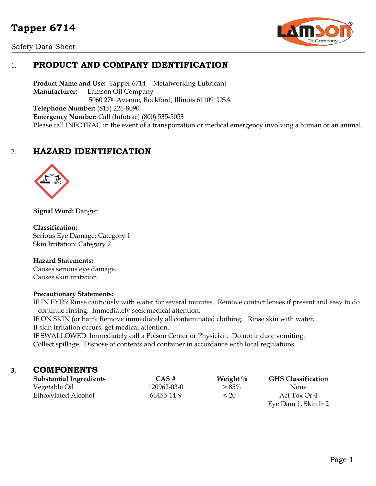# **Tapper 6714**

Safety Data Sheet



# 1. **PRODUCT AND COMPANY IDENTIFICATION**

**Product Name and Use:** Tapper 6714 - Metalworking Lubricant **Manufacturer:** Lamson Oil Company 5060 27th Avenue, Rockford, Illinois 61109 USA **Telephone Number:** (815) 226-8090 **Emergency Number:** Call (Infotrac) (800) 535-5053 Please call INFOTRAC in the event of a transportation or medical emergency involving a human or an animal.

# 2. **HAZARD IDENTIFICATION**



**Signal Word:** Danger

#### **Classification:**

Serious Eye Damage: Category 1 Skin Irritation: Category 2

#### **Hazard Statements:**

Causes serious eye damage. Causes skin irritation.

#### **Precautionary Statements:**

IF IN EYES: Rinse cautiously with water for several minutes. Remove contact lenses if present and easy to do – continue rinsing. Immediately seek medical attention.

IF ON SKIN (or hair): Remove immediately all contaminated clothing. Rinse skin with water. If skin irritation occurs, get medical attention.

IF SWALLOWED: Immediately call a Poison Center or Physician. Do not induce vomiting. Collect spillage. Dispose of contents and container in accordance with local regulations.

## **3. COMPONENTS**

| <b>Substantial Ingredients</b> | CAS#        | Weight $\%$ | <b>GHS Classification</b> |
|--------------------------------|-------------|-------------|---------------------------|
| Vegetable Oil                  | 120962-03-0 | $> 85\%$    | None.                     |
| Ethoxylated Alcohol            | 66455-14-9  | < 20        | Act Tox Or 4              |
|                                |             |             |                           |

Eye Dam 1, Skin Ir 2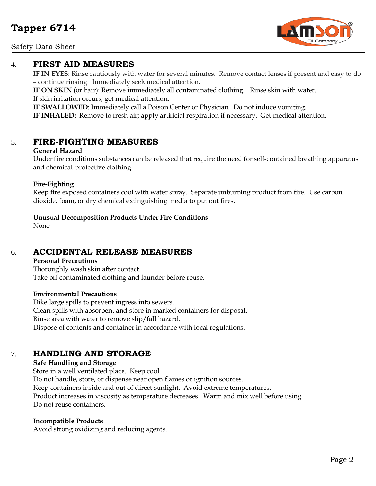## Safety Data Sheet



# 4. **FIRST AID MEASURES**

**IF IN EYES**: Rinse cautiously with water for several minutes. Remove contact lenses if present and easy to do – continue rinsing. Immediately seek medical attention.

**IF ON SKIN** (or hair): Remove immediately all contaminated clothing. Rinse skin with water. If skin irritation occurs, get medical attention.

**IF SWALLOWED**: Immediately call a Poison Center or Physician. Do not induce vomiting.

**IF INHALED:** Remove to fresh air; apply artificial respiration if necessary. Get medical attention.

# 5. **FIRE-FIGHTING MEASURES**

### **General Hazard**

Under fire conditions substances can be released that require the need for self-contained breathing apparatus and chemical-protective clothing.

## **Fire-Fighting**

Keep fire exposed containers cool with water spray. Separate unburning product from fire. Use carbon dioxide, foam, or dry chemical extinguishing media to put out fires.

## **Unusual Decomposition Products Under Fire Conditions**

None

# 6. **ACCIDENTAL RELEASE MEASURES**

### **Personal Precautions**

Thoroughly wash skin after contact. Take off contaminated clothing and launder before reuse.

### **Environmental Precautions**

Dike large spills to prevent ingress into sewers. Clean spills with absorbent and store in marked containers for disposal. Rinse area with water to remove slip/fall hazard. Dispose of contents and container in accordance with local regulations.

# 7. **HANDLING AND STORAGE**

## **Safe Handling and Storage**

Store in a well ventilated place. Keep cool. Do not handle, store, or dispense near open flames or ignition sources. Keep containers inside and out of direct sunlight. Avoid extreme temperatures. Product increases in viscosity as temperature decreases. Warm and mix well before using. Do not reuse containers.

### **Incompatible Products**

Avoid strong oxidizing and reducing agents.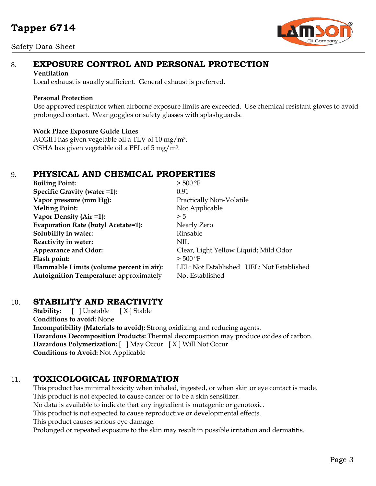# **Tapper 6714**

## Safety Data Sheet



# 8. **EXPOSURE CONTROL AND PERSONAL PROTECTION**

#### **Ventilation**

Local exhaust is usually sufficient. General exhaust is preferred.

### **Personal Protection**

Use approved respirator when airborne exposure limits are exceeded. Use chemical resistant gloves to avoid prolonged contact. Wear goggles or safety glasses with splashguards.

## **Work Place Exposure Guide Lines**

ACGIH has given vegetable oil a TLV of 10 mg/m3. OSHA has given vegetable oil a PEL of 5 mg/m3.

# 9. **PHYSICAL AND CHEMICAL PROPERTIES**

| <b>Boiling Point:</b>                          | $>$ 500 °F                                |  |
|------------------------------------------------|-------------------------------------------|--|
| Specific Gravity (water =1):                   | 0.91                                      |  |
| Vapor pressure (mm Hg):                        | Practically Non-Volatile                  |  |
| <b>Melting Point:</b>                          | Not Applicable                            |  |
| Vapor Density (Air =1):                        | > 5                                       |  |
| Evaporation Rate (butyl Acetate=1):            | Nearly Zero                               |  |
| Solubility in water:                           | Rinsable                                  |  |
| Reactivity in water:                           | <b>NIL</b>                                |  |
| <b>Appearance and Odor:</b>                    | Clear, Light Yellow Liquid; Mild Odor     |  |
| Flash point:                                   | $>$ 500 °F                                |  |
| Flammable Limits (volume percent in air):      | LEL: Not Established UEL: Not Established |  |
| <b>Autoignition Temperature:</b> approximately | Not Established                           |  |

# 10. **STABILITY AND REACTIVITY**

**Stability:** [ ] Unstable [ X ] Stable **Conditions to avoid:** None **Incompatibility (Materials to avoid):** Strong oxidizing and reducing agents. **Hazardous Decomposition Products:** Thermal decomposition may produce oxides of carbon. **Hazardous Polymerization:** [ ] May Occur [ X ] Will Not Occur **Conditions to Avoid:** Not Applicable

# 11. **TOXICOLOGICAL INFORMATION**

This product has minimal toxicity when inhaled, ingested, or when skin or eye contact is made. This product is not expected to cause cancer or to be a skin sensitizer. No data is available to indicate that any ingredient is mutagenic or genotoxic. This product is not expected to cause reproductive or developmental effects. This product causes serious eye damage. Prolonged or repeated exposure to the skin may result in possible irritation and dermatitis.